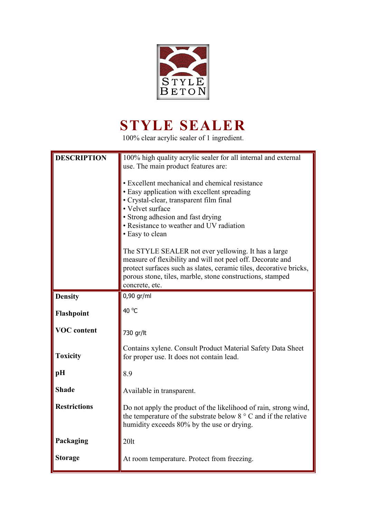

## **STYLE SEALER**

100% clear acrylic sealer of 1 ingredient.

| <b>DESCRIPTION</b>  | 100% high quality acrylic sealer for all internal and external<br>use. The main product features are:<br>• Excellent mechanical and chemical resistance<br>• Easy application with excellent spreading<br>· Crystal-clear, transparent film final<br>• Velvet surface<br>• Strong adhesion and fast drying<br>• Resistance to weather and UV radiation<br>• Easy to clean<br>The STYLE SEALER not ever yellowing. It has a large |
|---------------------|----------------------------------------------------------------------------------------------------------------------------------------------------------------------------------------------------------------------------------------------------------------------------------------------------------------------------------------------------------------------------------------------------------------------------------|
|                     | measure of flexibility and will not peel off. Decorate and<br>protect surfaces such as slates, ceramic tiles, decorative bricks,<br>porous stone, tiles, marble, stone constructions, stamped<br>concrete, etc.                                                                                                                                                                                                                  |
| <b>Density</b>      | 0,90 gr/ml                                                                                                                                                                                                                                                                                                                                                                                                                       |
| Flashpoint          | 40 °C                                                                                                                                                                                                                                                                                                                                                                                                                            |
| <b>VOC</b> content  | 730 gr/lt                                                                                                                                                                                                                                                                                                                                                                                                                        |
| <b>Toxicity</b>     | Contains xylene. Consult Product Material Safety Data Sheet<br>for proper use. It does not contain lead.                                                                                                                                                                                                                                                                                                                         |
| pH                  | 8.9                                                                                                                                                                                                                                                                                                                                                                                                                              |
| <b>Shade</b>        | Available in transparent.                                                                                                                                                                                                                                                                                                                                                                                                        |
| <b>Restrictions</b> | Do not apply the product of the likelihood of rain, strong wind,<br>the temperature of the substrate below $8^\circ$ C and if the relative<br>humidity exceeds 80% by the use or drying.                                                                                                                                                                                                                                         |
| Packaging           | $20$ lt                                                                                                                                                                                                                                                                                                                                                                                                                          |
| <b>Storage</b>      | At room temperature. Protect from freezing.                                                                                                                                                                                                                                                                                                                                                                                      |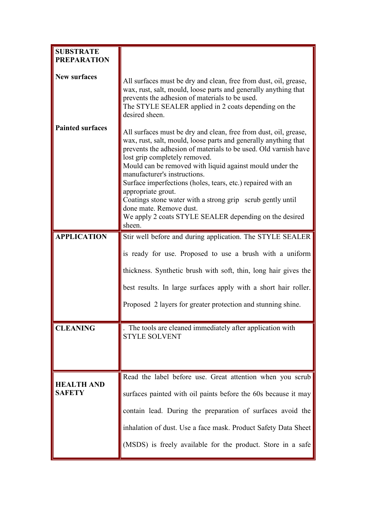| <b>SUBSTRATE</b><br><b>PREPARATION</b> |                                                                                                                                                                                                                                                                                                                                                                                                                                                                                                                                                                                       |
|----------------------------------------|---------------------------------------------------------------------------------------------------------------------------------------------------------------------------------------------------------------------------------------------------------------------------------------------------------------------------------------------------------------------------------------------------------------------------------------------------------------------------------------------------------------------------------------------------------------------------------------|
| <b>New surfaces</b>                    | All surfaces must be dry and clean, free from dust, oil, grease,<br>wax, rust, salt, mould, loose parts and generally anything that<br>prevents the adhesion of materials to be used.<br>The STYLE SEALER applied in 2 coats depending on the<br>desired sheen.                                                                                                                                                                                                                                                                                                                       |
| <b>Painted surfaces</b>                | All surfaces must be dry and clean, free from dust, oil, grease,<br>wax, rust, salt, mould, loose parts and generally anything that<br>prevents the adhesion of materials to be used. Old varnish have<br>lost grip completely removed.<br>Mould can be removed with liquid against mould under the<br>manufacturer's instructions.<br>Surface imperfections (holes, tears, etc.) repaired with an<br>appropriate grout.<br>Coatings stone water with a strong grip scrub gently until<br>done mate. Remove dust.<br>We apply 2 coats STYLE SEALER depending on the desired<br>sheen. |
| <b>APPLICATION</b>                     | Stir well before and during application. The STYLE SEALER                                                                                                                                                                                                                                                                                                                                                                                                                                                                                                                             |
|                                        | is ready for use. Proposed to use a brush with a uniform                                                                                                                                                                                                                                                                                                                                                                                                                                                                                                                              |
|                                        | thickness. Synthetic brush with soft, thin, long hair gives the                                                                                                                                                                                                                                                                                                                                                                                                                                                                                                                       |
|                                        | best results. In large surfaces apply with a short hair roller.                                                                                                                                                                                                                                                                                                                                                                                                                                                                                                                       |
|                                        | Proposed 2 layers for greater protection and stunning shine.                                                                                                                                                                                                                                                                                                                                                                                                                                                                                                                          |
| <b>CLEANING</b>                        | The tools are cleaned immediately after application with<br><b>STYLE SOLVENT</b>                                                                                                                                                                                                                                                                                                                                                                                                                                                                                                      |
| <b>HEALTH AND</b>                      | Read the label before use. Great attention when you scrub                                                                                                                                                                                                                                                                                                                                                                                                                                                                                                                             |
| <b>SAFETY</b>                          | surfaces painted with oil paints before the 60s because it may                                                                                                                                                                                                                                                                                                                                                                                                                                                                                                                        |
|                                        | contain lead. During the preparation of surfaces avoid the                                                                                                                                                                                                                                                                                                                                                                                                                                                                                                                            |
|                                        | inhalation of dust. Use a face mask. Product Safety Data Sheet                                                                                                                                                                                                                                                                                                                                                                                                                                                                                                                        |
|                                        | (MSDS) is freely available for the product. Store in a safe                                                                                                                                                                                                                                                                                                                                                                                                                                                                                                                           |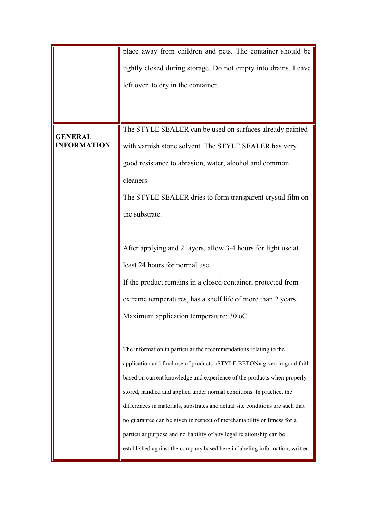|                    | place away from children and pets. The container should be                    |
|--------------------|-------------------------------------------------------------------------------|
|                    | tightly closed during storage. Do not empty into drains. Leave                |
|                    | left over to dry in the container.                                            |
|                    |                                                                               |
|                    |                                                                               |
| <b>GENERAL</b>     | The STYLE SEALER can be used on surfaces already painted                      |
| <b>INFORMATION</b> | with varnish stone solvent. The STYLE SEALER has very                         |
|                    | good resistance to abrasion, water, alcohol and common                        |
|                    | cleaners.                                                                     |
|                    | The STYLE SEALER dries to form transparent crystal film on                    |
|                    | the substrate.                                                                |
|                    |                                                                               |
|                    | After applying and 2 layers, allow 3-4 hours for light use at                 |
|                    | least 24 hours for normal use.                                                |
|                    | If the product remains in a closed container, protected from                  |
|                    | extreme temperatures, has a shelf life of more than 2 years.                  |
|                    | Maximum application temperature: 30 oC.                                       |
|                    |                                                                               |
|                    | The information in particular the recommendations relating to the             |
|                    | application and final use of products «STYLE BETON» given in good faith       |
|                    | based on current knowledge and experience of the products when properly       |
|                    | stored, handled and applied under normal conditions. In practice, the         |
|                    | differences in materials, substrates and actual site conditions are such that |
|                    | no guarantee can be given in respect of merchantability or fitness for a      |
|                    | particular purpose and no liability of any legal relationship can be          |
|                    | established against the company based here in labeling information, written   |